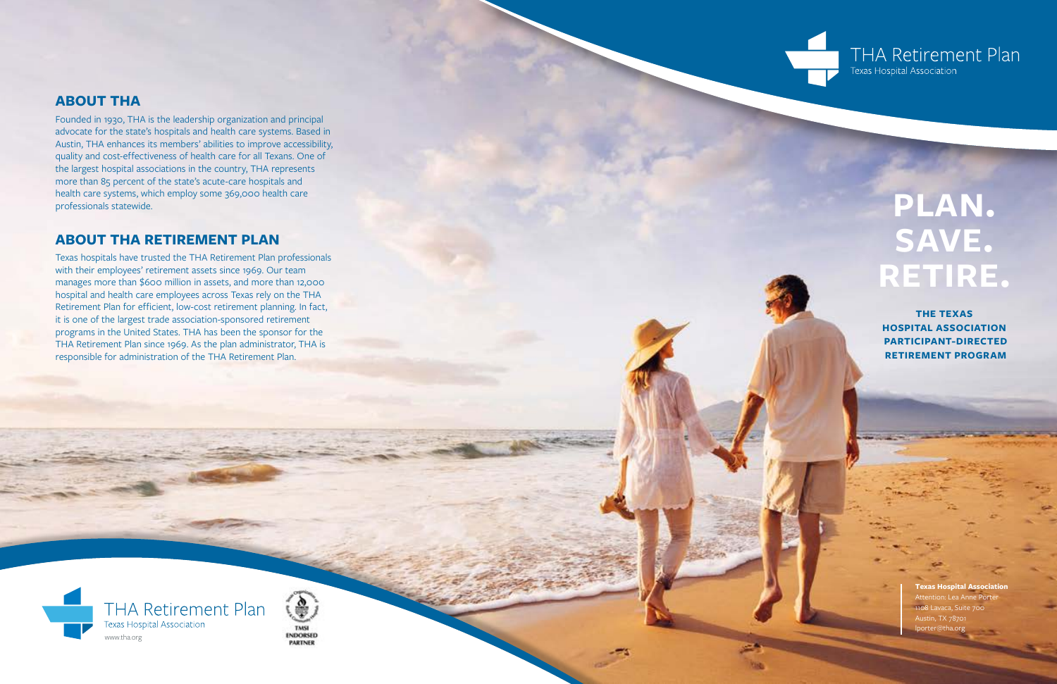**Texas Hospital Association** Attention: Lea Anne Porte 1108 Lavaca, Suite 700 Austin, TX 78701 lporter@tha.org

# **PLAN . SAVE. RETIRE .**

**THE TEXAS HOSPITAL ASSOCIATION PARTICIPANT-DIRECTED RETIREMENT PROGRAM**







### **ABOUT THA**

Founded in 1930, THA is the leadership organization and principal advocate for the state's hospitals and health care systems. Based in Austin, THA enhances its members' abilities to improve accessibility, quality and cost-effectiveness of health care for all Texans. One of the largest hospital associations in the country, THA represents more than 85 percent of the state's acute-care hospitals and health care systems, which employ some 369,000 health care professionals statewide.

### **ABOUT THA RETIREMENT PLAN**

Texas hospitals have trusted the THA Retirement Plan professionals with their employees' retirement assets since 1969. Our team manages more than \$600 million in assets, and more than 12,000 hospital and health care employees across Texas rely on the THA Retirement Plan for efficient, low-cost retirement planning. In fact, it is one of the largest trade association-sponsored retirement programs in the United States. THA has been the sponsor for the THA Retirement Plan since 1969. As the plan administrator, THA is responsible for administration of the THA Retirement Plan.